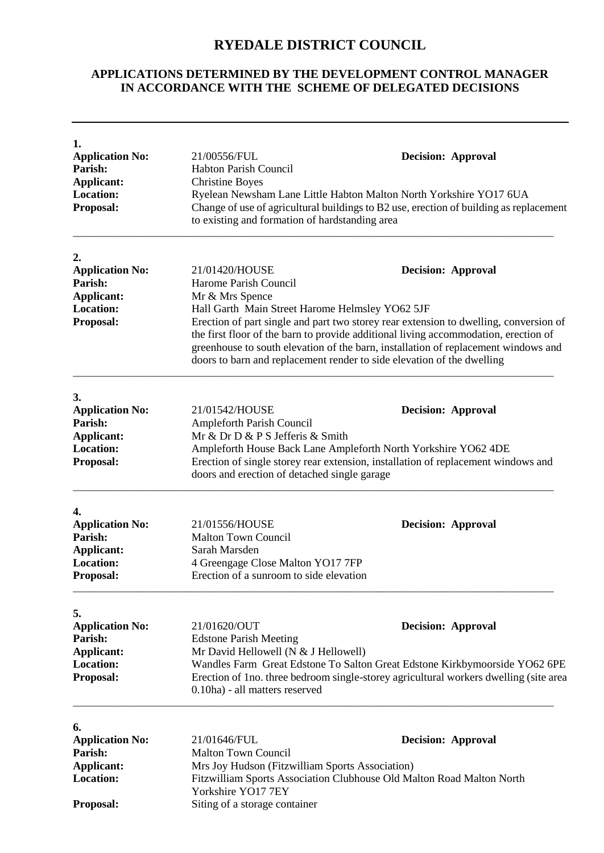## **RYEDALE DISTRICT COUNCIL**

## **APPLICATIONS DETERMINED BY THE DEVELOPMENT CONTROL MANAGER IN ACCORDANCE WITH THE SCHEME OF DELEGATED DECISIONS**

| 1.<br><b>Application No:</b><br>Parish:<br><b>Applicant:</b><br><b>Location:</b><br>Proposal:               | 21/00556/FUL<br><b>Decision: Approval</b><br><b>Habton Parish Council</b><br><b>Christine Boyes</b><br>Ryelean Newsham Lane Little Habton Malton North Yorkshire YO17 6UA<br>Change of use of agricultural buildings to B2 use, erection of building as replacement<br>to existing and formation of hardstanding area<br>21/01420/HOUSE<br><b>Decision: Approval</b><br>Harome Parish Council<br>Mr & Mrs Spence<br>Hall Garth Main Street Harome Helmsley YO62 5JF<br>Erection of part single and part two storey rear extension to dwelling, conversion of<br>the first floor of the barn to provide additional living accommodation, erection of<br>greenhouse to south elevation of the barn, installation of replacement windows and<br>doors to barn and replacement render to side elevation of the dwelling<br>21/01542/HOUSE<br><b>Decision: Approval</b><br>Ampleforth Parish Council<br>Mr & Dr D & P S Jefferis & Smith<br>Ampleforth House Back Lane Ampleforth North Yorkshire YO62 4DE<br>Erection of single storey rear extension, installation of replacement windows and<br>doors and erection of detached single garage |                                                                                                                                                                                                  |
|-------------------------------------------------------------------------------------------------------------|--------------------------------------------------------------------------------------------------------------------------------------------------------------------------------------------------------------------------------------------------------------------------------------------------------------------------------------------------------------------------------------------------------------------------------------------------------------------------------------------------------------------------------------------------------------------------------------------------------------------------------------------------------------------------------------------------------------------------------------------------------------------------------------------------------------------------------------------------------------------------------------------------------------------------------------------------------------------------------------------------------------------------------------------------------------------------------------------------------------------------------------------|--------------------------------------------------------------------------------------------------------------------------------------------------------------------------------------------------|
| 2.<br><b>Application No:</b><br>Parish:<br><b>Applicant:</b><br><b>Location:</b><br><b>Proposal:</b>        |                                                                                                                                                                                                                                                                                                                                                                                                                                                                                                                                                                                                                                                                                                                                                                                                                                                                                                                                                                                                                                                                                                                                            |                                                                                                                                                                                                  |
| 3.<br><b>Application No:</b><br><b>Parish:</b><br><b>Applicant:</b><br><b>Location:</b><br><b>Proposal:</b> |                                                                                                                                                                                                                                                                                                                                                                                                                                                                                                                                                                                                                                                                                                                                                                                                                                                                                                                                                                                                                                                                                                                                            |                                                                                                                                                                                                  |
| 4.<br><b>Application No:</b><br>Parish:<br><b>Applicant:</b><br><b>Location:</b><br><b>Proposal:</b>        | 21/01556/HOUSE<br><b>Malton Town Council</b><br>Sarah Marsden<br>4 Greengage Close Malton YO17 7FP<br>Erection of a sunroom to side elevation                                                                                                                                                                                                                                                                                                                                                                                                                                                                                                                                                                                                                                                                                                                                                                                                                                                                                                                                                                                              | <b>Decision: Approval</b>                                                                                                                                                                        |
| 5.<br><b>Application No:</b><br>Parish:<br>Applicant:<br><b>Location:</b><br>Proposal:                      | 21/01620/OUT<br><b>Edstone Parish Meeting</b><br>Mr David Hellowell (N & J Hellowell)<br>0.10ha) - all matters reserved                                                                                                                                                                                                                                                                                                                                                                                                                                                                                                                                                                                                                                                                                                                                                                                                                                                                                                                                                                                                                    | <b>Decision: Approval</b><br>Wandles Farm Great Edstone To Salton Great Edstone Kirkbymoorside YO62 6PE<br>Erection of 1no. three bedroom single-storey agricultural workers dwelling (site area |
| 6.<br><b>Application No:</b><br><b>Parish:</b><br><b>Applicant:</b><br><b>Location:</b><br><b>Proposal:</b> | 21/01646/FUL<br><b>Malton Town Council</b><br>Mrs Joy Hudson (Fitzwilliam Sports Association)<br>Yorkshire YO17 7EY<br>Siting of a storage container                                                                                                                                                                                                                                                                                                                                                                                                                                                                                                                                                                                                                                                                                                                                                                                                                                                                                                                                                                                       | <b>Decision: Approval</b><br>Fitzwilliam Sports Association Clubhouse Old Malton Road Malton North                                                                                               |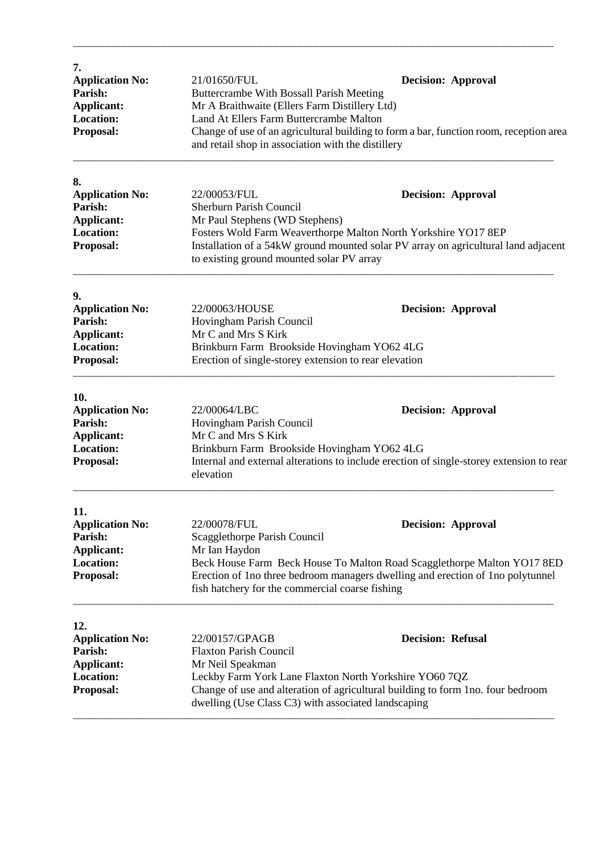| 7.<br><b>Application No:</b><br>Parish:<br><b>Applicant:</b><br>Location:<br>Proposal:  | 21/01650/FUL<br>Buttercrambe With Bossall Parish Meeting<br>Mr A Braithwaite (Ellers Farm Distillery Ltd)<br>Land At Ellers Farm Buttercrambe Malton<br>Change of use of an agricultural building to form a bar, function room, reception area<br>and retail shop in association with the distillery | <b>Decision: Approval</b> |  |
|-----------------------------------------------------------------------------------------|------------------------------------------------------------------------------------------------------------------------------------------------------------------------------------------------------------------------------------------------------------------------------------------------------|---------------------------|--|
| 8.<br><b>Application No:</b><br>Parish:                                                 | 22/00053/FUL                                                                                                                                                                                                                                                                                         | <b>Decision: Approval</b> |  |
| <b>Applicant:</b><br><b>Location:</b><br>Proposal:                                      | Sherburn Parish Council<br>Mr Paul Stephens (WD Stephens)<br>Fosters Wold Farm Weaverthorpe Malton North Yorkshire YO17 8EP<br>Installation of a 54kW ground mounted solar PV array on agricultural land adjacent<br>to existing ground mounted solar PV array                                       |                           |  |
| 9.<br><b>Application No:</b><br>Parish:<br>Applicant:<br><b>Location:</b><br>Proposal:  | 22/00063/HOUSE<br>Hovingham Parish Council<br>Mr C and Mrs S Kirk<br>Brinkburn Farm Brookside Hovingham YO62 4LG<br>Erection of single-storey extension to rear elevation                                                                                                                            | <b>Decision: Approval</b> |  |
| 10.<br><b>Application No:</b><br>Parish:<br>Applicant:<br><b>Location:</b><br>Proposal: | 22/00064/LBC<br>Hovingham Parish Council<br>Mr C and Mrs S Kirk<br>Brinkburn Farm Brookside Hovingham YO62 4LG<br>Internal and external alterations to include erection of single-storey extension to rear<br>elevation                                                                              | <b>Decision: Approval</b> |  |
| 11.<br><b>Application No:</b><br>Parish:<br>Applicant:<br><b>Location:</b><br>Proposal: | 22/00078/FUL<br>Scagglethorpe Parish Council<br>Mr Ian Haydon<br>Beck House Farm Beck House To Malton Road Scagglethorpe Malton YO17 8ED<br>Erection of 1 no three bedroom managers dwelling and erection of 1 no polytunnel<br>fish hatchery for the commercial coarse fishing                      | <b>Decision: Approval</b> |  |
| 12.<br><b>Application No:</b><br>Parish:<br>Applicant:<br>Location:<br>Proposal:        | 22/00157/GPAGB<br><b>Flaxton Parish Council</b><br>Mr Neil Speakman<br>Leckby Farm York Lane Flaxton North Yorkshire YO60 7QZ<br>Change of use and alteration of agricultural building to form 1no. four bedroom<br>dwelling (Use Class C3) with associated landscaping                              | <b>Decision: Refusal</b>  |  |

\_\_\_\_\_\_\_\_\_\_\_\_\_\_\_\_\_\_\_\_\_\_\_\_\_\_\_\_\_\_\_\_\_\_\_\_\_\_\_\_\_\_\_\_\_\_\_\_\_\_\_\_\_\_\_\_\_\_\_\_\_\_\_\_\_\_\_\_\_\_\_\_\_\_\_\_\_\_\_\_\_\_\_\_\_\_\_\_\_\_\_\_\_\_\_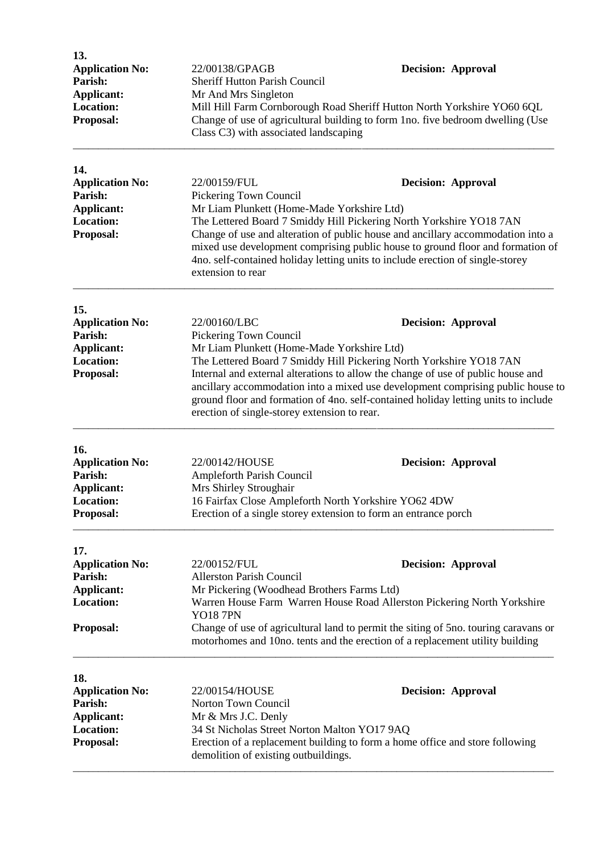| 13.<br><b>Application No:</b><br>Parish:<br><b>Applicant:</b><br><b>Location:</b><br>Proposal: | 22/00138/GPAGB<br><b>Sheriff Hutton Parish Council</b><br>Mr And Mrs Singleton<br>Class C3) with associated landscaping                                                                          | <b>Decision: Approval</b><br>Mill Hill Farm Cornborough Road Sheriff Hutton North Yorkshire YO60 6QL<br>Change of use of agricultural building to form 1no. five bedroom dwelling (Use                                                                                                                                                                        |
|------------------------------------------------------------------------------------------------|--------------------------------------------------------------------------------------------------------------------------------------------------------------------------------------------------|---------------------------------------------------------------------------------------------------------------------------------------------------------------------------------------------------------------------------------------------------------------------------------------------------------------------------------------------------------------|
| 14.<br><b>Application No:</b><br>Parish:<br><b>Applicant:</b><br><b>Location:</b><br>Proposal: | 22/00159/FUL<br>Pickering Town Council<br>Mr Liam Plunkett (Home-Made Yorkshire Ltd)<br>extension to rear                                                                                        | <b>Decision: Approval</b><br>The Lettered Board 7 Smiddy Hill Pickering North Yorkshire YO18 7AN<br>Change of use and alteration of public house and ancillary accommodation into a<br>mixed use development comprising public house to ground floor and formation of<br>4no. self-contained holiday letting units to include erection of single-storey       |
| 15.<br><b>Application No:</b><br>Parish:<br><b>Applicant:</b><br><b>Location:</b><br>Proposal: | 22/00160/LBC<br>Pickering Town Council<br>Mr Liam Plunkett (Home-Made Yorkshire Ltd)<br>erection of single-storey extension to rear.                                                             | <b>Decision: Approval</b><br>The Lettered Board 7 Smiddy Hill Pickering North Yorkshire YO18 7AN<br>Internal and external alterations to allow the change of use of public house and<br>ancillary accommodation into a mixed use development comprising public house to<br>ground floor and formation of 4no. self-contained holiday letting units to include |
| 16.<br><b>Application No:</b><br>Parish:<br><b>Applicant:</b><br><b>Location:</b><br>Proposal: | 22/00142/HOUSE<br>Ampleforth Parish Council<br>Mrs Shirley Stroughair<br>16 Fairfax Close Ampleforth North Yorkshire YO62 4DW<br>Erection of a single storey extension to form an entrance porch | <b>Decision: Approval</b>                                                                                                                                                                                                                                                                                                                                     |
| 17.<br><b>Application No:</b><br>Parish:<br><b>Applicant:</b><br><b>Location:</b><br>Proposal: | 22/00152/FUL<br><b>Allerston Parish Council</b><br>Mr Pickering (Woodhead Brothers Farms Ltd)<br><b>YO18 7PN</b>                                                                                 | <b>Decision: Approval</b><br>Warren House Farm Warren House Road Allerston Pickering North Yorkshire<br>Change of use of agricultural land to permit the siting of 5no. touring caravans or<br>motorhomes and 10no. tents and the erection of a replacement utility building                                                                                  |
| 18.<br><b>Application No:</b><br>Parish:<br><b>Applicant:</b><br><b>Location:</b><br>Proposal: | 22/00154/HOUSE<br>Norton Town Council<br>Mr & Mrs J.C. Denly<br>34 St Nicholas Street Norton Malton YO17 9AQ<br>demolition of existing outbuildings.                                             | <b>Decision: Approval</b><br>Erection of a replacement building to form a home office and store following                                                                                                                                                                                                                                                     |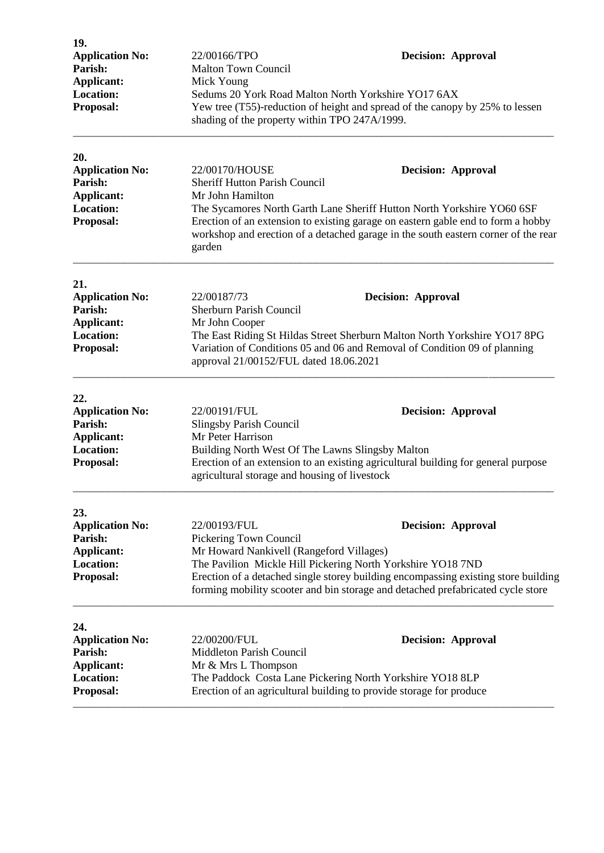| 19.<br><b>Application No:</b><br>Parish:<br>Applicant:<br><b>Location:</b><br>Proposal:        | 22/00166/TPO<br><b>Malton Town Council</b><br>Mick Young<br>shading of the property within TPO 247A/1999.                                                                                                                                                                                                                                                             | <b>Decision: Approval</b><br>Sedums 20 York Road Malton North Yorkshire YO17 6AX<br>Yew tree (T55)-reduction of height and spread of the canopy by 25% to lessen                                                                                                  |
|------------------------------------------------------------------------------------------------|-----------------------------------------------------------------------------------------------------------------------------------------------------------------------------------------------------------------------------------------------------------------------------------------------------------------------------------------------------------------------|-------------------------------------------------------------------------------------------------------------------------------------------------------------------------------------------------------------------------------------------------------------------|
| 20.<br><b>Application No:</b><br>Parish:<br><b>Applicant:</b><br><b>Location:</b><br>Proposal: | 22/00170/HOUSE<br><b>Decision: Approval</b><br><b>Sheriff Hutton Parish Council</b><br>Mr John Hamilton<br>The Sycamores North Garth Lane Sheriff Hutton North Yorkshire YO60 6SF<br>Erection of an extension to existing garage on eastern gable end to form a hobby<br>workshop and erection of a detached garage in the south eastern corner of the rear<br>garden |                                                                                                                                                                                                                                                                   |
| 21.<br><b>Application No:</b><br>Parish:<br><b>Applicant:</b><br><b>Location:</b><br>Proposal: | 22/00187/73<br>Sherburn Parish Council<br>Mr John Cooper<br>approval 21/00152/FUL dated 18.06.2021                                                                                                                                                                                                                                                                    | <b>Decision: Approval</b><br>The East Riding St Hildas Street Sherburn Malton North Yorkshire YO17 8PG<br>Variation of Conditions 05 and 06 and Removal of Condition 09 of planning                                                                               |
| 22.<br><b>Application No:</b><br>Parish:<br><b>Applicant:</b><br><b>Location:</b><br>Proposal: | 22/00191/FUL<br>Slingsby Parish Council<br>Mr Peter Harrison<br>Building North West Of The Lawns Slingsby Malton<br>agricultural storage and housing of livestock                                                                                                                                                                                                     | <b>Decision: Approval</b><br>Erection of an extension to an existing agricultural building for general purpose                                                                                                                                                    |
| 23.<br><b>Application No:</b><br>Parish:<br><b>Applicant:</b><br><b>Location:</b><br>Proposal: | 22/00193/FUL<br>Pickering Town Council<br>Mr Howard Nankivell (Rangeford Villages)                                                                                                                                                                                                                                                                                    | <b>Decision: Approval</b><br>The Pavilion Mickle Hill Pickering North Yorkshire YO18 7ND<br>Erection of a detached single storey building encompassing existing store building<br>forming mobility scooter and bin storage and detached prefabricated cycle store |
| 24.<br><b>Application No:</b><br>Parish:<br>Applicant:<br><b>Location:</b><br>Proposal:        | 22/00200/FUL<br><b>Decision: Approval</b><br>Middleton Parish Council<br>Mr & Mrs L Thompson<br>The Paddock Costa Lane Pickering North Yorkshire YO18 8LP<br>Erection of an agricultural building to provide storage for produce                                                                                                                                      |                                                                                                                                                                                                                                                                   |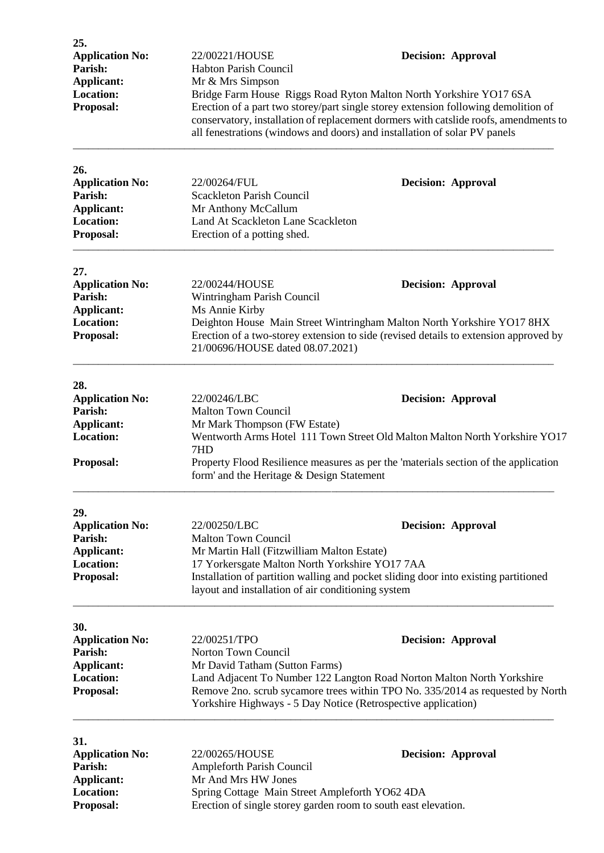| 25.<br><b>Application No:</b><br>Parish:<br>Applicant:<br><b>Location:</b><br>Proposal:        | 22/00221/HOUSE<br>Habton Parish Council<br>Mr & Mrs Simpson<br>Bridge Farm House Riggs Road Ryton Malton North Yorkshire YO17 6SA<br>all fenestrations (windows and doors) and installation of solar PV panels   | <b>Decision: Approval</b><br>Erection of a part two storey/part single storey extension following demolition of<br>conservatory, installation of replacement dormers with catslide roofs, amendments to |
|------------------------------------------------------------------------------------------------|------------------------------------------------------------------------------------------------------------------------------------------------------------------------------------------------------------------|---------------------------------------------------------------------------------------------------------------------------------------------------------------------------------------------------------|
| 26.<br><b>Application No:</b><br>Parish:<br><b>Applicant:</b><br><b>Location:</b><br>Proposal: | 22/00264/FUL<br><b>Scackleton Parish Council</b><br>Mr Anthony McCallum<br>Land At Scackleton Lane Scackleton<br>Erection of a potting shed.                                                                     | <b>Decision: Approval</b>                                                                                                                                                                               |
| 27.<br><b>Application No:</b><br>Parish:<br>Applicant:<br><b>Location:</b><br>Proposal:        | 22/00244/HOUSE<br>Wintringham Parish Council<br>Ms Annie Kirby<br>21/00696/HOUSE dated 08.07.2021)                                                                                                               | <b>Decision: Approval</b><br>Deighton House Main Street Wintringham Malton North Yorkshire YO17 8HX<br>Erection of a two-storey extension to side (revised details to extension approved by             |
| 28.<br><b>Application No:</b><br>Parish:<br><b>Applicant:</b><br><b>Location:</b><br>Proposal: | 22/00246/LBC<br><b>Malton Town Council</b><br>Mr Mark Thompson (FW Estate)<br>7HD<br>form' and the Heritage & Design Statement                                                                                   | <b>Decision: Approval</b><br>Wentworth Arms Hotel 111 Town Street Old Malton Malton North Yorkshire YO17<br>Property Flood Resilience measures as per the 'materials section of the application         |
| 29.<br><b>Application No:</b><br>Parish:<br>Applicant:<br>Location:<br>Proposal:               | 22/00250/LBC<br><b>Malton Town Council</b><br>Mr Martin Hall (Fitzwilliam Malton Estate)<br>17 Yorkersgate Malton North Yorkshire YO17 7AA<br>layout and installation of air conditioning system                 | <b>Decision: Approval</b><br>Installation of partition walling and pocket sliding door into existing partitioned                                                                                        |
| 30.<br><b>Application No:</b><br>Parish:<br>Applicant:<br><b>Location:</b><br>Proposal:        | 22/00251/TPO<br>Norton Town Council<br>Mr David Tatham (Sutton Farms)<br>Land Adjacent To Number 122 Langton Road Norton Malton North Yorkshire<br>Yorkshire Highways - 5 Day Notice (Retrospective application) | <b>Decision: Approval</b><br>Remove 2no. scrub sycamore trees within TPO No. 335/2014 as requested by North                                                                                             |
| 31.<br><b>Application No:</b><br>Parish:<br><b>Applicant:</b><br><b>Location:</b><br>Proposal: | 22/00265/HOUSE<br>Ampleforth Parish Council<br>Mr And Mrs HW Jones<br>Spring Cottage Main Street Ampleforth YO62 4DA<br>Erection of single storey garden room to south east elevation.                           | <b>Decision: Approval</b>                                                                                                                                                                               |